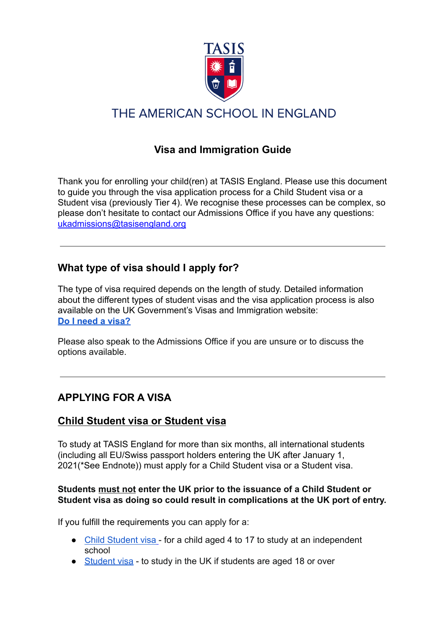

# THE AMERICAN SCHOOL IN ENGLAND

## **Visa and Immigration Guide**

Thank you for enrolling your child(ren) at TASIS England. Please use this document to guide you through the visa application process for a Child Student visa or a Student visa (previously Tier 4). We recognise these processes can be complex, so please don't hesitate to contact our Admissions Office if you have any questions: ukadmissions@tasisengland.org

## **What type of visa should I apply for?**

The type of visa required depends on the length of study. Detailed information about the different types of student visas and the visa application process is also available on the UK Government's Visas and Immigration website: **Do I need a [visa?](https://www.gov.uk/check-uk-visa)**

Please also speak to the Admissions Office if you are unsure or to discuss the options available.

## **APPLYING FOR A VISA**

### **Child Student visa or Student visa**

To study at TASIS England for more than six months, all international students (including all EU/Swiss passport holders entering the UK after January 1, 2021(\*See Endnote)) must apply for a Child Student visa or a Student visa.

#### **Students must not enter the UK prior to the issuance of a Child Student or Student visa as doing so could result in complications at the UK port of entry.**

If you fulfill the requirements you can apply for a:

- Child [Student](https://www.gov.uk/child-study-visa) visa for a child aged 4 to 17 to study at an independent school
- [Student](https://www.gov.uk/student-visa) visa to study in the UK if students are aged 18 or over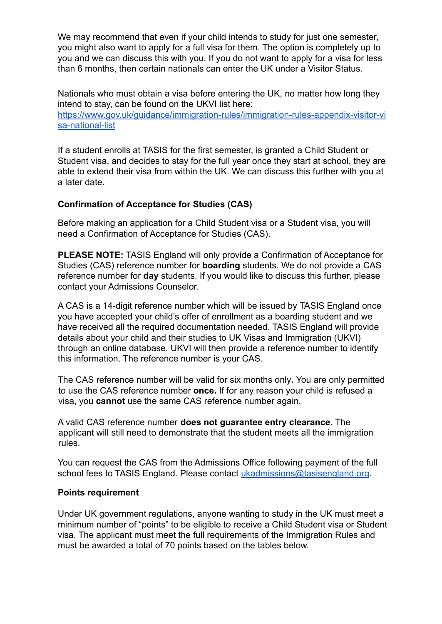We may recommend that even if your child intends to study for just one semester, you might also want to apply for a full visa for them. The option is completely up to you and we can discuss this with you. If you do not want to apply for a visa for less than 6 months, then certain nationals can enter the UK under a Visitor Status.

Nationals who must obtain a visa before entering the UK, no matter how long they intend to stay, can be found on the UKVI list here:

[https://www.gov.uk/guidance/immigration-rules/immigration-rules-appendix-visitor-vi](https://www.gov.uk/guidance/immigration-rules/immigration-rules-appendix-visitor-visa-national-list) [sa-national-list](https://www.gov.uk/guidance/immigration-rules/immigration-rules-appendix-visitor-visa-national-list)

If a student enrolls at TASIS for the first semester, is granted a Child Student or Student visa, and decides to stay for the full year once they start at school, they are able to extend their visa from within the UK. We can discuss this further with you at a later date.

#### **Confirmation of Acceptance for Studies (CAS)**

Before making an application for a Child Student visa or a Student visa, you will need a Confirmation of Acceptance for Studies (CAS).

**PLEASE NOTE:** TASIS England will only provide a Confirmation of Acceptance for Studies (CAS) reference number for **boarding** students. We do not provide a CAS reference number for **day** students. If you would like to discuss this further, please contact your Admissions Counselor.

A CAS is a 14-digit reference number which will be issued by TASIS England once you have accepted your child's offer of enrollment as a boarding student and we have received all the required documentation needed. TASIS England will provide details about your child and their studies to UK Visas and Immigration (UKVI) through an online database. UKVI will then provide a reference number to identify this information. The reference number is your CAS.

The CAS reference number will be valid for six months only**.** You are only permitted to use the CAS reference number **once.** If for any reason your child is refused a visa, you **cannot** use the same CAS reference number again.

A valid CAS reference number **does not guarantee entry clearance.** The applicant will still need to demonstrate that the student meets all the immigration rules.

You can request the CAS from the Admissions Office following payment of the full school fees to TASIS England. Please contact [ukadmissions@tasisengland.org](mailto:ukadmissions@tasisengland.org).

#### **Points requirement**

Under UK government regulations, anyone wanting to study in the UK must meet a minimum number of "points" to be eligible to receive a Child Student visa or Student visa. The applicant must meet the full requirements of the Immigration Rules and must be awarded a total of 70 points based on the tables below.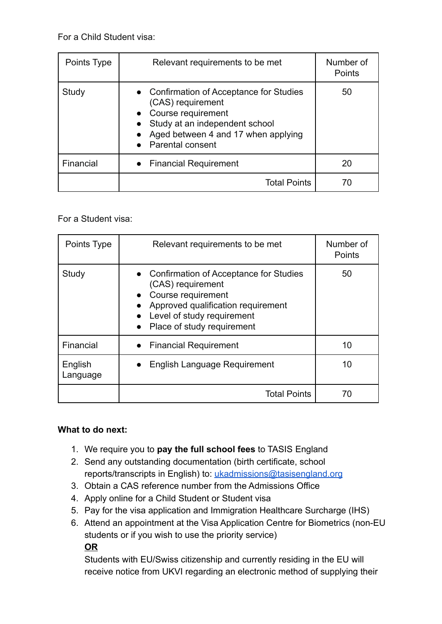For a Child Student visa:

| Points Type | Relevant requirements to be met                                                                                                                                                  | Number of<br>Points |
|-------------|----------------------------------------------------------------------------------------------------------------------------------------------------------------------------------|---------------------|
| Study       | • Confirmation of Acceptance for Studies<br>(CAS) requirement<br>Course requirement<br>Study at an independent school<br>Aged between 4 and 17 when applying<br>Parental consent | 50                  |
| Financial   | • Financial Requirement                                                                                                                                                          | 20                  |
|             | <b>Total Points</b>                                                                                                                                                              | 70                  |

For a Student visa:

| Points Type         | Relevant requirements to be met                                                                                                                                                         | Number of<br><b>Points</b> |
|---------------------|-----------------------------------------------------------------------------------------------------------------------------------------------------------------------------------------|----------------------------|
| Study               | • Confirmation of Acceptance for Studies<br>(CAS) requirement<br>Course requirement<br>Approved qualification requirement<br>• Level of study requirement<br>Place of study requirement | 50                         |
| Financial           | • Financial Requirement                                                                                                                                                                 | 10                         |
| English<br>Language | English Language Requirement                                                                                                                                                            | 10                         |
|                     | <b>Total Points</b>                                                                                                                                                                     | 70                         |

### **What to do next:**

- 1. We require you to **pay the full school fees** to TASIS England
- 2. Send any outstanding documentation (birth certificate, school reports/transcripts in English) to: [ukadmissions@tasisengland.org](mailto:ukadmissions@tasisengland.org)
- 3. Obtain a CAS reference number from the Admissions Office
- 4. Apply online for a Child Student or Student visa
- 5. Pay for the visa application and Immigration Healthcare Surcharge (IHS)
- 6. Attend an appointment at the Visa Application Centre for Biometrics (non-EU students or if you wish to use the priority service) **OR**

Students with EU/Swiss citizenship and currently residing in the EU will receive notice from UKVI regarding an electronic method of supplying their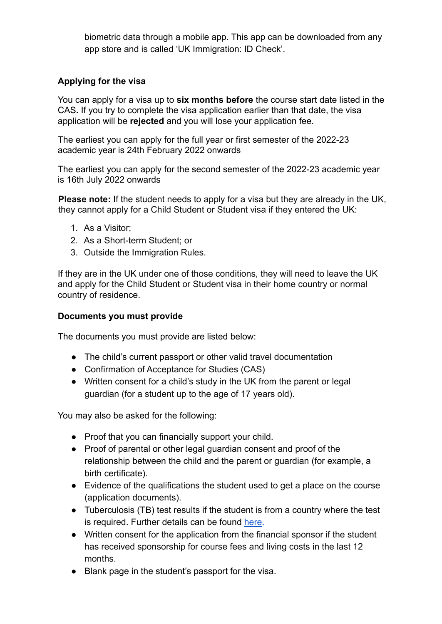biometric data through a mobile app. This app can be downloaded from any app store and is called 'UK Immigration: ID Check'.

#### **Applying for the visa**

You can apply for a visa up to **six months before** the course start date listed in the CAS**.** If you try to complete the visa application earlier than that date, the visa application will be **rejected** and you will lose your application fee.

The earliest you can apply for the full year or first semester of the 2022-23 academic year is 24th February 2022 onwards

The earliest you can apply for the second semester of the 2022-23 academic year is 16th July 2022 onwards

**Please note:** If the student needs to apply for a visa but they are already in the UK, they cannot apply for a Child Student or Student visa if they entered the UK:

- 1. As a Visitor;
- 2. As a Short-term Student; or
- 3. Outside the Immigration Rules.

If they are in the UK under one of those conditions, they will need to leave the UK and apply for the Child Student or Student visa in their home country or normal country of residence.

#### **Documents you must provide**

The documents you must provide are listed below:

- The child's current passport or other valid travel documentation
- Confirmation of Acceptance for Studies (CAS)
- Written consent for a child's study in the UK from the parent or legal guardian (for a student up to the age of 17 years old).

You may also be asked for the following:

- Proof that you can financially support your child.
- Proof of parental or other legal guardian consent and proof of the relationship between the child and the parent or guardian (for example, a birth certificate).
- Evidence of the qualifications the student used to get a place on the course (application documents).
- Tuberculosis (TB) test results if the student is from a country where the test is required. Further details can be found [here](https://www.gov.uk/guidance/immigration-rules/immigration-rules-appendix-t-tuberculosis-screening).
- Written consent for the application from the financial sponsor if the student has received sponsorship for course fees and living costs in the last 12 months.
- Blank page in the student's passport for the visa.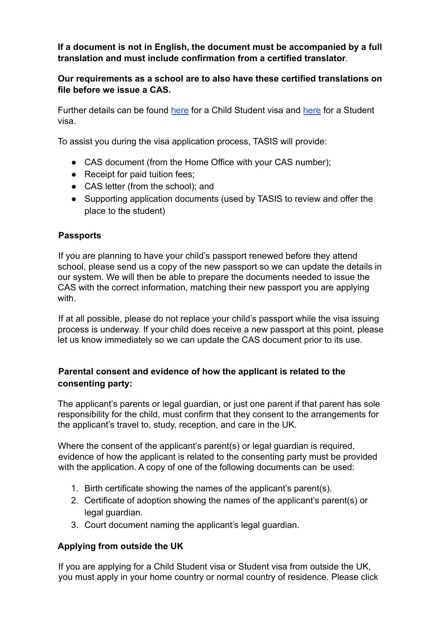**If a document is not in English, the document must be accompanied by a full translation and must include confirmation from a certified translator**.

**Our requirements as a school are to also have these certified translations on file before we issue a CAS.**

Further details can be found [here](https://www.gov.uk/child-study-visa/documents-you-must-provide) for a Child Student visa and [here](https://www.gov.uk/student-visa/documents-you-must-provide) for a Student visa.

To assist you during the visa application process, TASIS will provide:

- CAS document (from the Home Office with your CAS number):
- Receipt for paid tuition fees;
- CAS letter (from the school); and
- Supporting application documents (used by TASIS to review and offer the place to the student)

#### **Passports**

If you are planning to have your child's passport renewed before they attend school, please send us a copy of the new passport so we can update the details in our system. We will then be able to prepare the documents needed to issue the CAS with the correct information, matching their new passport you are applying with

If at all possible, please do not replace your child's passport while the visa issuing process is underway. If your child does receive a new passport at this point, please let us know immediately so we can update the CAS document prior to its use.

#### **Parental consent and evidence of how the applicant is related to the consenting party:**

The applicant's parents or legal guardian, or just one parent if that parent has sole responsibility for the child, must confirm that they consent to the arrangements for the applicant's travel to, study, reception, and care in the UK.

Where the consent of the applicant's parent(s) or legal guardian is required, evidence of how the applicant is related to the consenting party must be provided with the application. A copy of one of the following documents can be used:

- 1. Birth certificate showing the names of the applicant's parent(s).
- 2. Certificate of adoption showing the names of the applicant's parent(s) or legal guardian.
- 3. Court document naming the applicant's legal guardian.

#### **Applying from outside the UK**

If you are applying for a Child Student visa or Student visa from outside the UK, you must apply in your home country or normal country of residence. Please click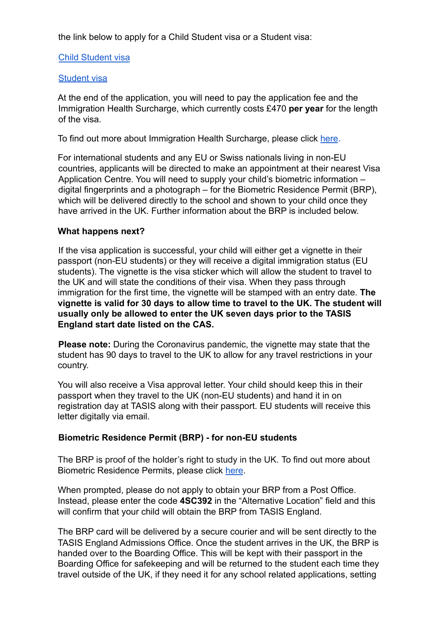the link below to apply for a Child Student visa or a Student visa:

#### Child [Student](https://www.gov.uk/child-study-visa/apply) visa

#### [Student](https://www.gov.uk/student-visa) visa

At the end of the application, you will need to pay the application fee and the Immigration Health Surcharge, which currently costs £470 **per year** for the length of the visa.

To find out more about Immigration Health Surcharge, please click [here](https://www.gov.uk/healthcare-immigration-application/how-much-pay).

For international students and any EU or Swiss nationals living in non-EU countries, applicants will be directed to make an appointment at their nearest Visa Application Centre. You will need to supply your child's biometric information – digital fingerprints and a photograph – for the Biometric Residence Permit (BRP), which will be delivered directly to the school and shown to your child once they have arrived in the UK. Further information about the BRP is included below.

#### **What happens next?**

If the visa application is successful, your child will either get a vignette in their passport (non-EU students) or they will receive a digital immigration status (EU students). The vignette is the visa sticker which will allow the student to travel to the UK and will state the conditions of their visa. When they pass through immigration for the first time, the vignette will be stamped with an entry date. **The vignette is valid for 30 days to allow time to travel to the UK. The student will usually only be allowed to enter the UK seven days prior to the TASIS England start date listed on the CAS.**

**Please note:** During the Coronavirus pandemic, the vignette may state that the student has 90 days to travel to the UK to allow for any travel restrictions in your country.

You will also receive a Visa approval letter. Your child should keep this in their passport when they travel to the UK (non-EU students) and hand it in on registration day at TASIS along with their passport. EU students will receive this letter digitally via email.

#### **Biometric Residence Permit (BRP) - for non-EU students**

The BRP is proof of the holder's right to study in the UK. To find out more about Biometric Residence Permits, please click [here.](https://www.gov.uk/biometric-residence-permits)

When prompted, please do not apply to obtain your BRP from a Post Office. Instead, please enter the code **4SC392** in the "Alternative Location" field and this will confirm that your child will obtain the BRP from TASIS England.

The BRP card will be delivered by a secure courier and will be sent directly to the TASIS England Admissions Office. Once the student arrives in the UK, the BRP is handed over to the Boarding Office. This will be kept with their passport in the Boarding Office for safekeeping and will be returned to the student each time they travel outside of the UK, if they need it for any school related applications, setting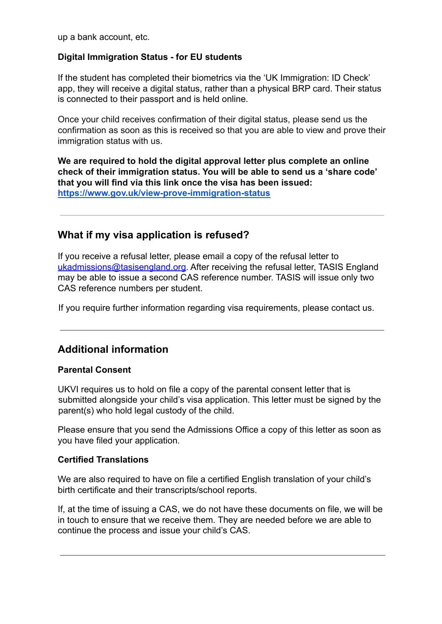up a bank account, etc.

#### **Digital Immigration Status - for EU students**

If the student has completed their biometrics via the 'UK Immigration: ID Check' app, they will receive a digital status, rather than a physical BRP card. Their status is connected to their passport and is held online.

Once your child receives confirmation of their digital status, please send us the confirmation as soon as this is received so that you are able to view and prove their immigration status with us.

**We are required to hold the digital approval letter plus complete an online check of their immigration status. You will be able to send us a 'share code' that you will find via this link once the visa has been issued: <https://www.gov.uk/view-prove-immigration-status>**

### **What if my visa application is refused?**

If you receive a refusal letter, please email a copy of the refusal letter to ukadmissions@tasisengland.org. After receiving the refusal letter, TASIS England may be able to issue a second CAS reference number. TASIS will issue only two CAS reference numbers per student.

If you require further information regarding visa requirements, please contact us.

### **Additional information**

#### **Parental Consent**

UKVI requires us to hold on file a copy of the parental consent letter that is submitted alongside your child's visa application. This letter must be signed by the parent(s) who hold legal custody of the child.

Please ensure that you send the Admissions Office a copy of this letter as soon as you have filed your application.

#### **Certified Translations**

We are also required to have on file a certified English translation of your child's birth certificate and their transcripts/school reports.

If, at the time of issuing a CAS, we do not have these documents on file, we will be in touch to ensure that we receive them. They are needed before we are able to continue the process and issue your child's CAS.